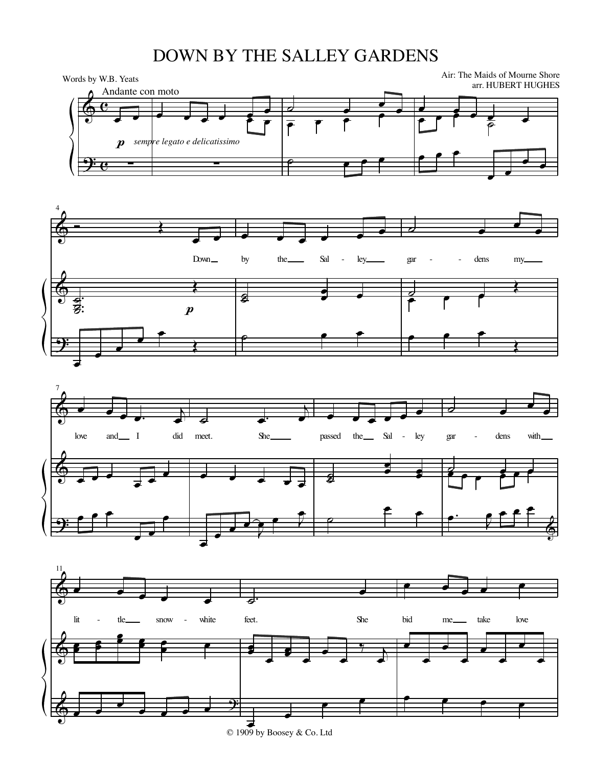## DOWN BY THE SALLEY GARDENS

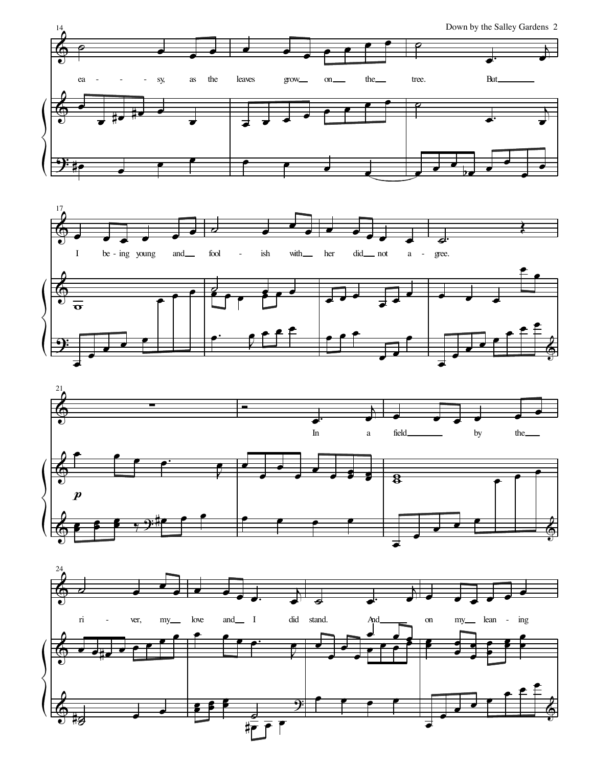